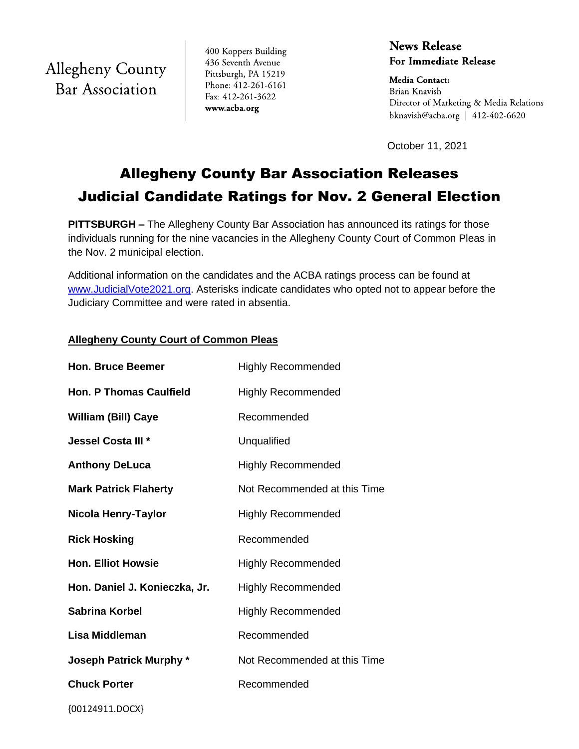**Allegheny County Bar Association** 

400 Koppers Building 436 Seventh Avenue Pittsburgh, PA 15219 Phone: 412-261-6161 Fax: 412-261-3622 www.acba.org

**News Release For Immediate Release** 

**Media Contact:** Brian Knavish Director of Marketing & Media Relations bknavish@acba.org |  $412-402-6620$ 

October 11, 2021

# Allegheny County Bar Association Releases Judicial Candidate Ratings for Nov. 2 General Election

**PITTSBURGH –** The Allegheny County Bar Association has announced its ratings for those individuals running for the nine vacancies in the Allegheny County Court of Common Pleas in the Nov. 2 municipal election.

Additional information on the candidates and the ACBA ratings process can be found at [www.JudicialVote2021.org.](https://www.judicialvote2021.org/) Asterisks indicate candidates who opted not to appear before the Judiciary Committee and were rated in absentia.

# **Allegheny County Court of Common Pleas**

| <b>Hon. Bruce Beemer</b>       | <b>Highly Recommended</b>    |
|--------------------------------|------------------------------|
| <b>Hon. P Thomas Caulfield</b> | <b>Highly Recommended</b>    |
| <b>William (Bill) Caye</b>     | Recommended                  |
| Jessel Costa III <sup>*</sup>  | Unqualified                  |
| <b>Anthony DeLuca</b>          | <b>Highly Recommended</b>    |
| <b>Mark Patrick Flaherty</b>   | Not Recommended at this Time |
| Nicola Henry-Taylor            | <b>Highly Recommended</b>    |
| <b>Rick Hosking</b>            | Recommended                  |
| <b>Hon. Elliot Howsie</b>      | <b>Highly Recommended</b>    |
| Hon. Daniel J. Konieczka, Jr.  | <b>Highly Recommended</b>    |
| <b>Sabrina Korbel</b>          | <b>Highly Recommended</b>    |
| Lisa Middleman                 | Recommended                  |
| <b>Joseph Patrick Murphy *</b> | Not Recommended at this Time |
| <b>Chuck Porter</b>            | Recommended                  |
|                                |                              |

{00124911.DOCX}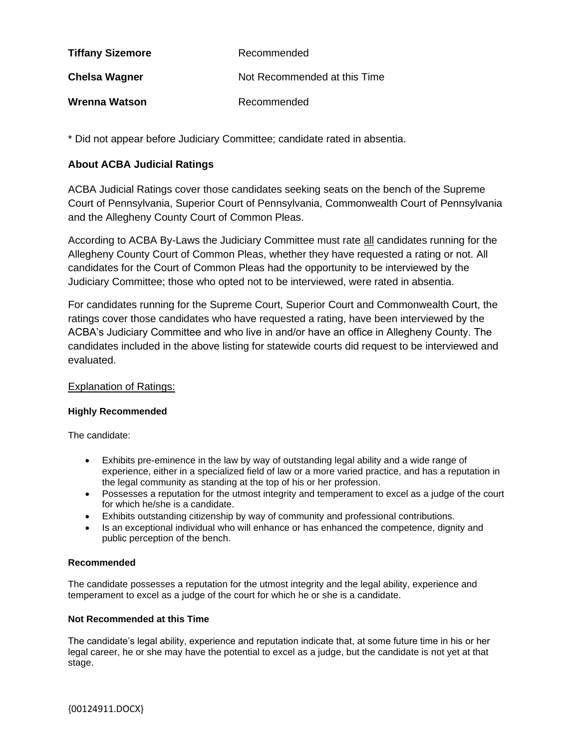| <b>Tiffany Sizemore</b> | Recommended                  |
|-------------------------|------------------------------|
| <b>Chelsa Wagner</b>    | Not Recommended at this Time |
| Wrenna Watson           | Recommended                  |

\* Did not appear before Judiciary Committee; candidate rated in absentia.

## **About ACBA Judicial Ratings**

ACBA Judicial Ratings cover those candidates seeking seats on the bench of the Supreme Court of Pennsylvania, Superior Court of Pennsylvania, Commonwealth Court of Pennsylvania and the Allegheny County Court of Common Pleas.

According to ACBA By-Laws the Judiciary Committee must rate all candidates running for the Allegheny County Court of Common Pleas, whether they have requested a rating or not. All candidates for the Court of Common Pleas had the opportunity to be interviewed by the Judiciary Committee; those who opted not to be interviewed, were rated in absentia.

For candidates running for the Supreme Court, Superior Court and Commonwealth Court, the ratings cover those candidates who have requested a rating, have been interviewed by the ACBA's Judiciary Committee and who live in and/or have an office in Allegheny County. The candidates included in the above listing for statewide courts did request to be interviewed and evaluated.

## Explanation of Ratings:

## **Highly Recommended**

The candidate:

- Exhibits pre-eminence in the law by way of outstanding legal ability and a wide range of experience, either in a specialized field of law or a more varied practice, and has a reputation in the legal community as standing at the top of his or her profession.
- Possesses a reputation for the utmost integrity and temperament to excel as a judge of the court for which he/she is a candidate.
- Exhibits outstanding citizenship by way of community and professional contributions.
- Is an exceptional individual who will enhance or has enhanced the competence, dignity and public perception of the bench.

## **Recommended**

The candidate possesses a reputation for the utmost integrity and the legal ability, experience and temperament to excel as a judge of the court for which he or she is a candidate.

## **Not Recommended at this Time**

The candidate's legal ability, experience and reputation indicate that, at some future time in his or her legal career, he or she may have the potential to excel as a judge, but the candidate is not yet at that stage.